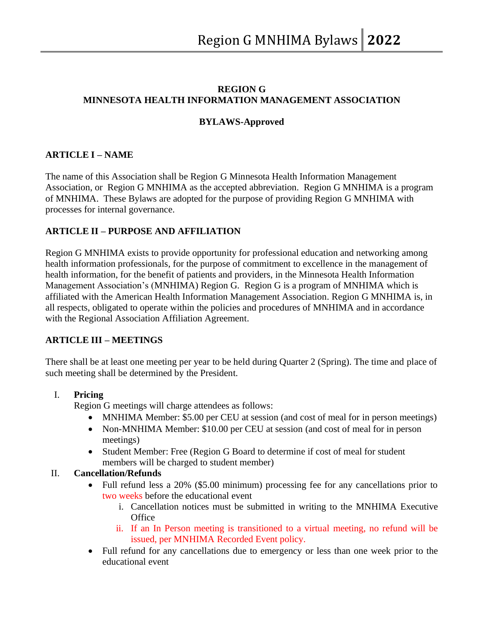# **REGION G MINNESOTA HEALTH INFORMATION MANAGEMENT ASSOCIATION**

## **BYLAWS-Approved**

# **ARTICLE I – NAME**

The name of this Association shall be Region G Minnesota Health Information Management Association, or Region G MNHIMA as the accepted abbreviation. Region G MNHIMA is a program of MNHIMA. These Bylaws are adopted for the purpose of providing Region G MNHIMA with processes for internal governance.

# **ARTICLE II – PURPOSE AND AFFILIATION**

Region G MNHIMA exists to provide opportunity for professional education and networking among health information professionals, for the purpose of commitment to excellence in the management of health information, for the benefit of patients and providers, in the Minnesota Health Information Management Association's (MNHIMA) Region G. Region G is a program of MNHIMA which is affiliated with the American Health Information Management Association. Region G MNHIMA is, in all respects, obligated to operate within the policies and procedures of MNHIMA and in accordance with the Regional Association Affiliation Agreement.

## **ARTICLE III – MEETINGS**

There shall be at least one meeting per year to be held during Quarter 2 (Spring). The time and place of such meeting shall be determined by the President.

## I. **Pricing**

Region G meetings will charge attendees as follows:

- MNHIMA Member: \$5.00 per CEU at session (and cost of meal for in person meetings)
- Non-MNHIMA Member: \$10.00 per CEU at session (and cost of meal for in person meetings)
- Student Member: Free (Region G Board to determine if cost of meal for student members will be charged to student member)

## II. **Cancellation/Refunds**

- Full refund less a 20% (\$5.00 minimum) processing fee for any cancellations prior to two weeks before the educational event
	- i. Cancellation notices must be submitted in writing to the MNHIMA Executive **Office**
	- ii. If an In Person meeting is transitioned to a virtual meeting, no refund will be issued, per MNHIMA Recorded Event policy.
- Full refund for any cancellations due to emergency or less than one week prior to the educational event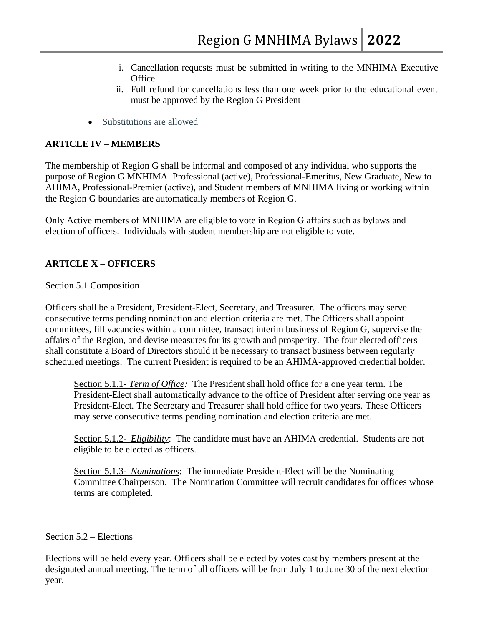- i. Cancellation requests must be submitted in writing to the MNHIMA Executive **Office**
- ii. Full refund for cancellations less than one week prior to the educational event must be approved by the Region G President
- Substitutions are allowed

# **ARTICLE IV – MEMBERS**

The membership of Region G shall be informal and composed of any individual who supports the purpose of Region G MNHIMA. Professional (active), Professional-Emeritus, New Graduate, New to AHIMA, Professional-Premier (active), and Student members of MNHIMA living or working within the Region G boundaries are automatically members of Region G.

Only Active members of MNHIMA are eligible to vote in Region G affairs such as bylaws and election of officers. Individuals with student membership are not eligible to vote.

# **ARTICLE X – OFFICERS**

## Section 5.1 Composition

Officers shall be a President, President-Elect, Secretary, and Treasurer. The officers may serve consecutive terms pending nomination and election criteria are met. The Officers shall appoint committees, fill vacancies within a committee, transact interim business of Region G, supervise the affairs of the Region, and devise measures for its growth and prosperity. The four elected officers shall constitute a Board of Directors should it be necessary to transact business between regularly scheduled meetings. The current President is required to be an AHIMA-approved credential holder.

Section 5.1.1- *Term of Office:* The President shall hold office for a one year term. The President-Elect shall automatically advance to the office of President after serving one year as President-Elect. The Secretary and Treasurer shall hold office for two years. These Officers may serve consecutive terms pending nomination and election criteria are met.

Section 5.1.2- *Eligibility*: The candidate must have an AHIMA credential. Students are not eligible to be elected as officers.

Section 5.1.3- *Nominations*: The immediate President-Elect will be the Nominating Committee Chairperson. The Nomination Committee will recruit candidates for offices whose terms are completed.

## Section 5.2 – Elections

Elections will be held every year. Officers shall be elected by votes cast by members present at the designated annual meeting. The term of all officers will be from July 1 to June 30 of the next election year.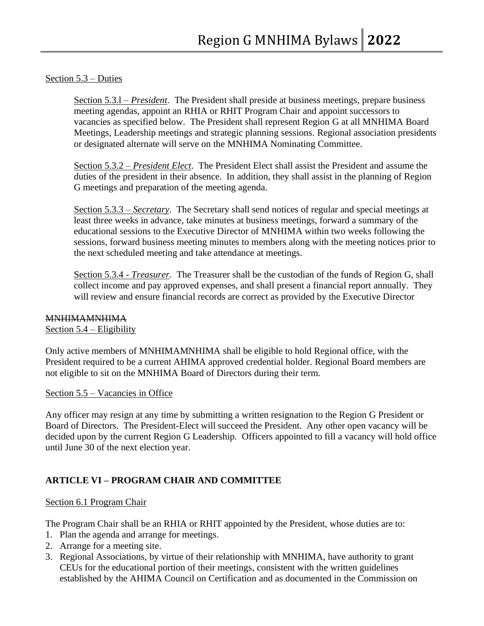## Section 5.3 – Duties

Section 5.3.l – *President*. The President shall preside at business meetings, prepare business meeting agendas, appoint an RHIA or RHIT Program Chair and appoint successors to vacancies as specified below. The President shall represent Region G at all MNHIMA Board Meetings, Leadership meetings and strategic planning sessions. Regional association presidents or designated alternate will serve on the MNHIMA Nominating Committee.

Section 5.3.2 – *President Elect*. The President Elect shall assist the President and assume the duties of the president in their absence. In addition, they shall assist in the planning of Region G meetings and preparation of the meeting agenda.

Section 5.3.3 – *Secretary*. The Secretary shall send notices of regular and special meetings at least three weeks in advance, take minutes at business meetings, forward a summary of the educational sessions to the Executive Director of MNHIMA within two weeks following the sessions, forward business meeting minutes to members along with the meeting notices prior to the next scheduled meeting and take attendance at meetings.

Section 5.3.4 - *Treasurer.* The Treasurer shall be the custodian of the funds of Region G, shall collect income and pay approved expenses, and shall present a financial report annually. They will review and ensure financial records are correct as provided by the Executive Director

#### MNHIMAMNHIMA

#### Section 5.4 – Eligibility

Only active members of MNHIMAMNHIMA shall be eligible to hold Regional office, with the President required to be a current AHIMA approved credential holder. Regional Board members are not eligible to sit on the MNHIMA Board of Directors during their term.

#### Section 5.5 – Vacancies in Office

Any officer may resign at any time by submitting a written resignation to the Region G President or Board of Directors. The President-Elect will succeed the President. Any other open vacancy will be decided upon by the current Region G Leadership. Officers appointed to fill a vacancy will hold office until June 30 of the next election year.

# **ARTICLE VI – PROGRAM CHAIR AND COMMITTEE**

#### Section 6.1 Program Chair

The Program Chair shall be an RHIA or RHIT appointed by the President, whose duties are to:

- 1. Plan the agenda and arrange for meetings.
- 2. Arrange for a meeting site.
- 3. Regional Associations, by virtue of their relationship with MNHIMA, have authority to grant CEUs for the educational portion of their meetings, consistent with the written guidelines established by the AHIMA Council on Certification and as documented in the Commission on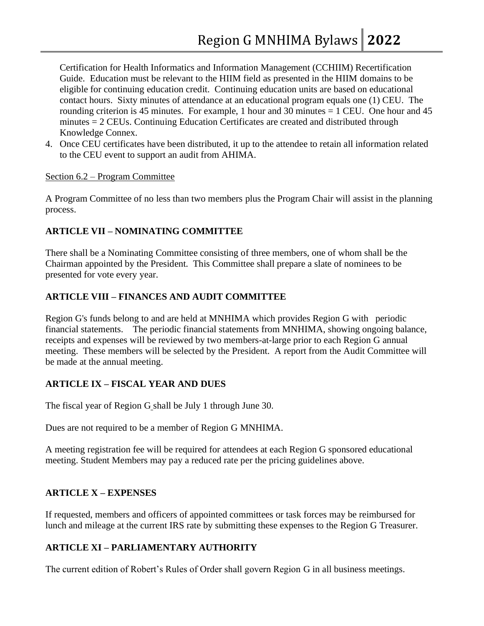Certification for Health Informatics and Information Management (CCHIIM) Recertification Guide. Education must be relevant to the HIIM field as presented in the HIIM domains to be eligible for continuing education credit. Continuing education units are based on educational contact hours. Sixty minutes of attendance at an educational program equals one (1) CEU. The rounding criterion is 45 minutes. For example, 1 hour and 30 minutes  $= 1$  CEU. One hour and 45 minutes = 2 CEUs. Continuing Education Certificates are created and distributed through Knowledge Connex.

4. Once CEU certificates have been distributed, it up to the attendee to retain all information related to the CEU event to support an audit from AHIMA.

### Section 6.2 – Program Committee

A Program Committee of no less than two members plus the Program Chair will assist in the planning process.

# **ARTICLE VII – NOMINATING COMMITTEE**

There shall be a Nominating Committee consisting of three members, one of whom shall be the Chairman appointed by the President. This Committee shall prepare a slate of nominees to be presented for vote every year.

# **ARTICLE VIII – FINANCES AND AUDIT COMMITTEE**

Region G's funds belong to and are held at MNHIMA which provides Region G with periodic financial statements. The periodic financial statements from MNHIMA, showing ongoing balance, receipts and expenses will be reviewed by two members-at-large prior to each Region G annual meeting. These members will be selected by the President. A report from the Audit Committee will be made at the annual meeting.

## **ARTICLE IX – FISCAL YEAR AND DUES**

The fiscal year of Region G shall be July 1 through June 30.

Dues are not required to be a member of Region G MNHIMA.

A meeting registration fee will be required for attendees at each Region G sponsored educational meeting. Student Members may pay a reduced rate per the pricing guidelines above.

# **ARTICLE X – EXPENSES**

If requested, members and officers of appointed committees or task forces may be reimbursed for lunch and mileage at the current IRS rate by submitting these expenses to the Region G Treasurer.

# **ARTICLE XI – PARLIAMENTARY AUTHORITY**

The current edition of Robert's Rules of Order shall govern Region G in all business meetings.